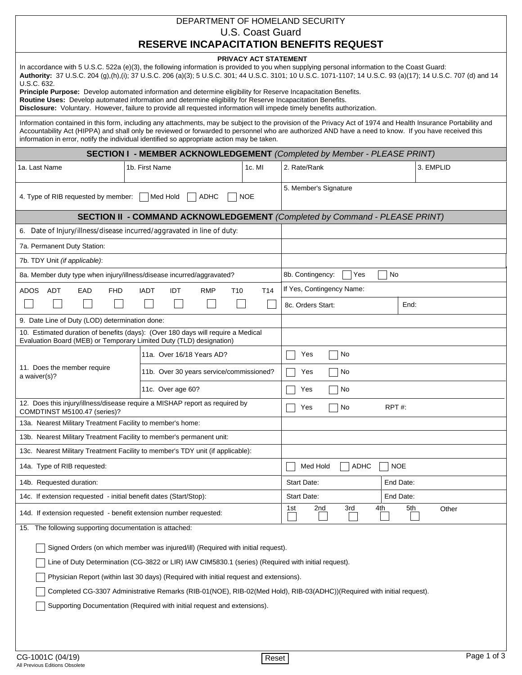| DEPARTMENT OF HOMELAND SECURITY<br>U.S. Coast Guard                                                                                                                                                                                                                                                                                                                                                                                                                                                                                                                                                                                                                                                                       |                                                            |                 |                       |                           |            |           |  |  |
|---------------------------------------------------------------------------------------------------------------------------------------------------------------------------------------------------------------------------------------------------------------------------------------------------------------------------------------------------------------------------------------------------------------------------------------------------------------------------------------------------------------------------------------------------------------------------------------------------------------------------------------------------------------------------------------------------------------------------|------------------------------------------------------------|-----------------|-----------------------|---------------------------|------------|-----------|--|--|
| <b>RESERVE INCAPACITATION BENEFITS REQUEST</b>                                                                                                                                                                                                                                                                                                                                                                                                                                                                                                                                                                                                                                                                            |                                                            |                 |                       |                           |            |           |  |  |
| <b>PRIVACY ACT STATEMENT</b><br>In accordance with 5 U.S.C. 522a (e)(3), the following information is provided to you when supplying personal information to the Coast Guard:<br>Authority: 37 U.S.C. 204 (g),(h),(i); 37 U.S.C. 206 (a)(3); 5 U.S.C. 301; 44 U.S.C. 3101; 10 U.S.C. 1071-1107; 14 U.S.C. 93 (a)(17); 14 U.S.C. 707 (d) and 14<br>U.S.C. 632.<br>Principle Purpose: Develop automated information and determine eligibility for Reserve Incapacitation Benefits.<br>Routine Uses: Develop automated information and determine eligibility for Reserve Incapacitation Benefits.<br>Disclosure: Voluntary. However, failure to provide all requested information will impede timely benefits authorization. |                                                            |                 |                       |                           |            |           |  |  |
| Information contained in this form, including any attachments, may be subject to the provision of the Privacy Act of 1974 and Health Insurance Portability and<br>Accountability Act (HIPPA) and shall only be reviewed or forwarded to personnel who are authorized AND have a need to know. If you have received this<br>information in error, notify the individual identified so appropriate action may be taken.                                                                                                                                                                                                                                                                                                     |                                                            |                 |                       |                           |            |           |  |  |
| <b>SECTION I - MEMBER ACKNOWLEDGEMENT</b> (Completed by Member - PLEASE PRINT)                                                                                                                                                                                                                                                                                                                                                                                                                                                                                                                                                                                                                                            |                                                            |                 |                       |                           |            |           |  |  |
| 1a. Last Name                                                                                                                                                                                                                                                                                                                                                                                                                                                                                                                                                                                                                                                                                                             | 1b. First Name                                             | 1c. MI          | 2. Rate/Rank          |                           |            | 3. EMPLID |  |  |
| 4. Type of RIB requested by member:                                                                                                                                                                                                                                                                                                                                                                                                                                                                                                                                                                                                                                                                                       | Med Hold<br>ADHC                                           | <b>NOE</b>      | 5. Member's Signature |                           |            |           |  |  |
| <b>SECTION II - COMMAND ACKNOWLEDGEMENT</b> (Completed by Command - PLEASE PRINT)                                                                                                                                                                                                                                                                                                                                                                                                                                                                                                                                                                                                                                         |                                                            |                 |                       |                           |            |           |  |  |
| 6. Date of Injury/illness/disease incurred/aggravated in line of duty:                                                                                                                                                                                                                                                                                                                                                                                                                                                                                                                                                                                                                                                    |                                                            |                 |                       |                           |            |           |  |  |
| 7a. Permanent Duty Station:                                                                                                                                                                                                                                                                                                                                                                                                                                                                                                                                                                                                                                                                                               |                                                            |                 |                       |                           |            |           |  |  |
| 7b. TDY Unit (if applicable):                                                                                                                                                                                                                                                                                                                                                                                                                                                                                                                                                                                                                                                                                             |                                                            |                 |                       |                           |            |           |  |  |
| 8a. Member duty type when injury/illness/disease incurred/aggravated?                                                                                                                                                                                                                                                                                                                                                                                                                                                                                                                                                                                                                                                     |                                                            |                 | 8b. Contingency:      | Yes                       | No         |           |  |  |
| EAD<br>ADOS<br>ADT<br><b>FHD</b>                                                                                                                                                                                                                                                                                                                                                                                                                                                                                                                                                                                                                                                                                          | <b>RMP</b><br><b>IADT</b><br><b>IDT</b><br>T <sub>10</sub> | T <sub>14</sub> |                       | If Yes, Contingency Name: |            |           |  |  |
|                                                                                                                                                                                                                                                                                                                                                                                                                                                                                                                                                                                                                                                                                                                           |                                                            |                 | 8c. Orders Start:     |                           | End:       |           |  |  |
| 9. Date Line of Duty (LOD) determination done:                                                                                                                                                                                                                                                                                                                                                                                                                                                                                                                                                                                                                                                                            |                                                            |                 |                       |                           |            |           |  |  |
| 10. Estimated duration of benefits (days): (Over 180 days will require a Medical<br>Evaluation Board (MEB) or Temporary Limited Duty (TLD) designation)                                                                                                                                                                                                                                                                                                                                                                                                                                                                                                                                                                   |                                                            |                 |                       |                           |            |           |  |  |
|                                                                                                                                                                                                                                                                                                                                                                                                                                                                                                                                                                                                                                                                                                                           | 11a. Over 16/18 Years AD?                                  |                 | Yes                   | No                        |            |           |  |  |
| 11. Does the member require<br>a waiver(s)?                                                                                                                                                                                                                                                                                                                                                                                                                                                                                                                                                                                                                                                                               | 11b. Over 30 years service/commissioned?                   |                 | Yes<br>No             |                           |            |           |  |  |
|                                                                                                                                                                                                                                                                                                                                                                                                                                                                                                                                                                                                                                                                                                                           | 11c. Over age 60?                                          |                 | No<br>Yes             |                           |            |           |  |  |
| 12. Does this injury/illness/disease require a MISHAP report as required by<br>COMDTINST M5100.47 (series)?                                                                                                                                                                                                                                                                                                                                                                                                                                                                                                                                                                                                               |                                                            |                 | RPT#:<br>No<br>Yes    |                           |            |           |  |  |
| 13a. Nearest Military Treatment Facility to member's home:                                                                                                                                                                                                                                                                                                                                                                                                                                                                                                                                                                                                                                                                |                                                            |                 |                       |                           |            |           |  |  |
| 13b. Nearest Military Treatment Facility to member's permanent unit:                                                                                                                                                                                                                                                                                                                                                                                                                                                                                                                                                                                                                                                      |                                                            |                 |                       |                           |            |           |  |  |
| 13c. Nearest Military Treatment Facility to member's TDY unit (if applicable):                                                                                                                                                                                                                                                                                                                                                                                                                                                                                                                                                                                                                                            |                                                            |                 |                       |                           |            |           |  |  |
| 14a. Type of RIB requested:                                                                                                                                                                                                                                                                                                                                                                                                                                                                                                                                                                                                                                                                                               |                                                            |                 | Med Hold              | <b>ADHC</b>               | <b>NOE</b> |           |  |  |
| 14b. Requested duration:                                                                                                                                                                                                                                                                                                                                                                                                                                                                                                                                                                                                                                                                                                  |                                                            |                 | Start Date:           |                           | End Date:  |           |  |  |
| 14c. If extension requested - initial benefit dates (Start/Stop):                                                                                                                                                                                                                                                                                                                                                                                                                                                                                                                                                                                                                                                         |                                                            |                 | Start Date:           |                           | End Date:  |           |  |  |
| 14d. If extension requested - benefit extension number requested:                                                                                                                                                                                                                                                                                                                                                                                                                                                                                                                                                                                                                                                         |                                                            |                 | 2nd<br>1st            | 3rd                       | 5th<br>4th | Other     |  |  |
| 15. The following supporting documentation is attached:                                                                                                                                                                                                                                                                                                                                                                                                                                                                                                                                                                                                                                                                   |                                                            |                 |                       |                           |            |           |  |  |
| Signed Orders (on which member was injured/ill) (Required with initial request).                                                                                                                                                                                                                                                                                                                                                                                                                                                                                                                                                                                                                                          |                                                            |                 |                       |                           |            |           |  |  |
| Line of Duty Determination (CG-3822 or LIR) IAW CIM5830.1 (series) (Required with initial request).                                                                                                                                                                                                                                                                                                                                                                                                                                                                                                                                                                                                                       |                                                            |                 |                       |                           |            |           |  |  |
| Physician Report (within last 30 days) (Required with initial request and extensions).                                                                                                                                                                                                                                                                                                                                                                                                                                                                                                                                                                                                                                    |                                                            |                 |                       |                           |            |           |  |  |
| Completed CG-3307 Administrative Remarks (RIB-01(NOE), RIB-02(Med Hold), RIB-03(ADHC))(Required with initial request).                                                                                                                                                                                                                                                                                                                                                                                                                                                                                                                                                                                                    |                                                            |                 |                       |                           |            |           |  |  |
| Supporting Documentation (Required with initial request and extensions).                                                                                                                                                                                                                                                                                                                                                                                                                                                                                                                                                                                                                                                  |                                                            |                 |                       |                           |            |           |  |  |
|                                                                                                                                                                                                                                                                                                                                                                                                                                                                                                                                                                                                                                                                                                                           |                                                            |                 |                       |                           |            |           |  |  |
|                                                                                                                                                                                                                                                                                                                                                                                                                                                                                                                                                                                                                                                                                                                           |                                                            |                 |                       |                           |            |           |  |  |
|                                                                                                                                                                                                                                                                                                                                                                                                                                                                                                                                                                                                                                                                                                                           |                                                            |                 |                       |                           |            |           |  |  |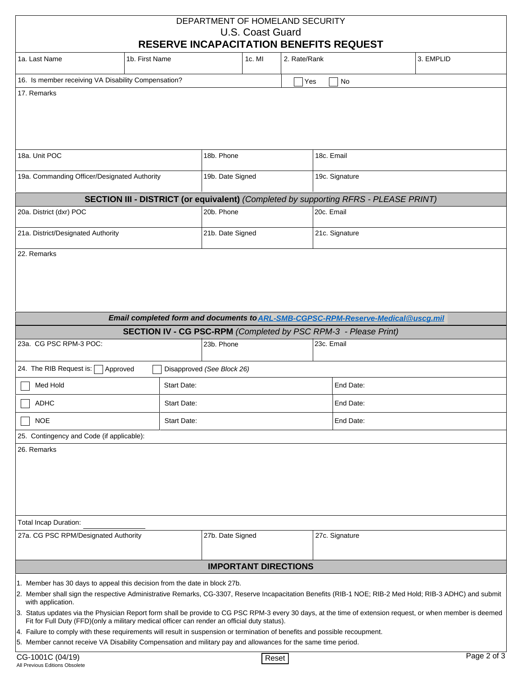|                                                                                                                                                                                                                                             |                                                                                              | DEPARTMENT OF HOMELAND SECURITY<br><b>U.S. Coast Guard</b><br><b>RESERVE INCAPACITATION BENEFITS REQUEST</b> |              |                |                                                                                                                                                                                                                                                                                                                       |  |  |
|---------------------------------------------------------------------------------------------------------------------------------------------------------------------------------------------------------------------------------------------|----------------------------------------------------------------------------------------------|--------------------------------------------------------------------------------------------------------------|--------------|----------------|-----------------------------------------------------------------------------------------------------------------------------------------------------------------------------------------------------------------------------------------------------------------------------------------------------------------------|--|--|
| 1a. Last Name                                                                                                                                                                                                                               | 1b. First Name                                                                               | 1c. MI                                                                                                       | 2. Rate/Rank |                | 3. EMPLID                                                                                                                                                                                                                                                                                                             |  |  |
| 16. Is member receiving VA Disability Compensation?                                                                                                                                                                                         |                                                                                              |                                                                                                              | Yes          | No             |                                                                                                                                                                                                                                                                                                                       |  |  |
| 17. Remarks                                                                                                                                                                                                                                 |                                                                                              |                                                                                                              |              |                |                                                                                                                                                                                                                                                                                                                       |  |  |
| 18a. Unit POC                                                                                                                                                                                                                               |                                                                                              | 18b. Phone                                                                                                   |              | 18c. Email     |                                                                                                                                                                                                                                                                                                                       |  |  |
| 19a. Commanding Officer/Designated Authority                                                                                                                                                                                                |                                                                                              | 19b. Date Signed                                                                                             |              | 19c. Signature |                                                                                                                                                                                                                                                                                                                       |  |  |
|                                                                                                                                                                                                                                             | <b>SECTION III - DISTRICT (or equivalent)</b> (Completed by supporting RFRS - PLEASE PRINT)  |                                                                                                              |              |                |                                                                                                                                                                                                                                                                                                                       |  |  |
| 20a. District (dxr) POC                                                                                                                                                                                                                     |                                                                                              | 20b. Phone                                                                                                   |              | 20c. Email     |                                                                                                                                                                                                                                                                                                                       |  |  |
| 21a. District/Designated Authority                                                                                                                                                                                                          |                                                                                              | 21b. Date Signed                                                                                             |              | 21c. Signature |                                                                                                                                                                                                                                                                                                                       |  |  |
|                                                                                                                                                                                                                                             | Email completed form and documents to ARL-SMB-CGPSC-RPM-Reserve-Medical@uscg.mil             |                                                                                                              |              |                |                                                                                                                                                                                                                                                                                                                       |  |  |
|                                                                                                                                                                                                                                             | <b>SECTION IV - CG PSC-RPM</b> (Completed by PSC RPM-3 - Please Print)                       |                                                                                                              |              |                |                                                                                                                                                                                                                                                                                                                       |  |  |
| 23a. CG PSC RPM-3 POC:                                                                                                                                                                                                                      |                                                                                              | 23b. Phone                                                                                                   |              | 23c. Email     |                                                                                                                                                                                                                                                                                                                       |  |  |
| 24. The RIB Request is:                                                                                                                                                                                                                     | Approved                                                                                     | Disapproved (See Block 26)                                                                                   |              |                |                                                                                                                                                                                                                                                                                                                       |  |  |
| Med Hold                                                                                                                                                                                                                                    | Start Date:                                                                                  |                                                                                                              |              | End Date:      |                                                                                                                                                                                                                                                                                                                       |  |  |
| <b>ADHC</b>                                                                                                                                                                                                                                 | Start Date:                                                                                  |                                                                                                              |              |                | End Date:                                                                                                                                                                                                                                                                                                             |  |  |
| <b>NOE</b>                                                                                                                                                                                                                                  | Start Date:                                                                                  |                                                                                                              |              | End Date:      |                                                                                                                                                                                                                                                                                                                       |  |  |
| 25. Contingency and Code (if applicable):                                                                                                                                                                                                   |                                                                                              |                                                                                                              |              |                |                                                                                                                                                                                                                                                                                                                       |  |  |
| 26. Remarks                                                                                                                                                                                                                                 |                                                                                              |                                                                                                              |              |                |                                                                                                                                                                                                                                                                                                                       |  |  |
| <b>Total Incap Duration:</b>                                                                                                                                                                                                                |                                                                                              |                                                                                                              |              |                |                                                                                                                                                                                                                                                                                                                       |  |  |
| 27a. CG PSC RPM/Designated Authority                                                                                                                                                                                                        |                                                                                              | 27b. Date Signed                                                                                             |              | 27c. Signature |                                                                                                                                                                                                                                                                                                                       |  |  |
|                                                                                                                                                                                                                                             |                                                                                              | <b>IMPORTANT DIRECTIONS</b>                                                                                  |              |                |                                                                                                                                                                                                                                                                                                                       |  |  |
| 1. Member has 30 days to appeal this decision from the date in block 27b.                                                                                                                                                                   |                                                                                              |                                                                                                              |              |                |                                                                                                                                                                                                                                                                                                                       |  |  |
| with application.                                                                                                                                                                                                                           |                                                                                              |                                                                                                              |              |                | 2. Member shall sign the respective Administrative Remarks, CG-3307, Reserve Incapacitation Benefits (RIB-1 NOE; RIB-2 Med Hold; RIB-3 ADHC) and submit<br>3. Status updates via the Physician Report form shall be provide to CG PSC RPM-3 every 30 days, at the time of extension request, or when member is deemed |  |  |
|                                                                                                                                                                                                                                             | Fit for Full Duty (FFD)(only a military medical officer can render an official duty status). |                                                                                                              |              |                |                                                                                                                                                                                                                                                                                                                       |  |  |
| 4. Failure to comply with these requirements will result in suspension or termination of benefits and possible recoupment.<br>5. Member cannot receive VA Disability Compensation and military pay and allowances for the same time period. |                                                                                              |                                                                                                              |              |                |                                                                                                                                                                                                                                                                                                                       |  |  |
| CG-1001C (04/19)<br>Reset                                                                                                                                                                                                                   |                                                                                              |                                                                                                              |              |                | Page 2 of 3                                                                                                                                                                                                                                                                                                           |  |  |